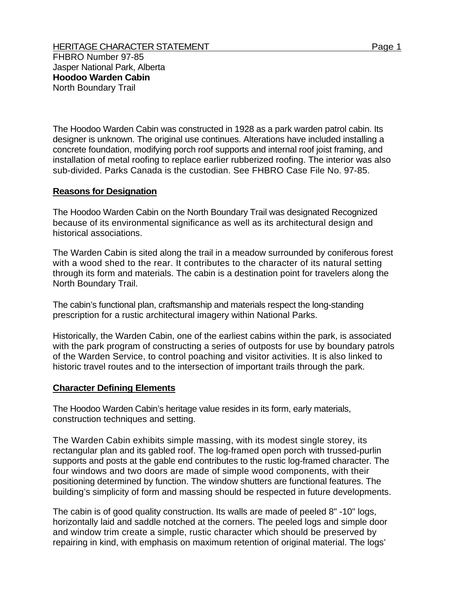FHBRO Number 97-85 Jasper National Park, Alberta **Hoodoo Warden Cabin** North Boundary Trail

The Hoodoo Warden Cabin was constructed in 1928 as a park warden patrol cabin. Its designer is unknown. The original use continues. Alterations have included installing a concrete foundation, modifying porch roof supports and internal roof joist framing, and installation of metal roofing to replace earlier rubberized roofing. The interior was also sub-divided. Parks Canada is the custodian. See FHBRO Case File No. 97-85.

## **Reasons for Designation**

The Hoodoo Warden Cabin on the North Boundary Trail was designated Recognized because of its environmental significance as well as its architectural design and historical associations.

The Warden Cabin is sited along the trail in a meadow surrounded by coniferous forest with a wood shed to the rear. It contributes to the character of its natural setting through its form and materials. The cabin is a destination point for travelers along the North Boundary Trail.

The cabin's functional plan, craftsmanship and materials respect the long-standing prescription for a rustic architectural imagery within National Parks.

Historically, the Warden Cabin, one of the earliest cabins within the park, is associated with the park program of constructing a series of outposts for use by boundary patrols of the Warden Service, to control poaching and visitor activities. It is also linked to historic travel routes and to the intersection of important trails through the park.

## **Character Defining Elements**

The Hoodoo Warden Cabin's heritage value resides in its form, early materials, construction techniques and setting.

The Warden Cabin exhibits simple massing, with its modest single storey, its rectangular plan and its gabled roof. The log-framed open porch with trussed-purlin supports and posts at the gable end contributes to the rustic log-framed character. The four windows and two doors are made of simple wood components, with their positioning determined by function. The window shutters are functional features. The building's simplicity of form and massing should be respected in future developments.

The cabin is of good quality construction. Its walls are made of peeled 8" -10" logs, horizontally laid and saddle notched at the corners. The peeled logs and simple door and window trim create a simple, rustic character which should be preserved by repairing in kind, with emphasis on maximum retention of original material. The logs'